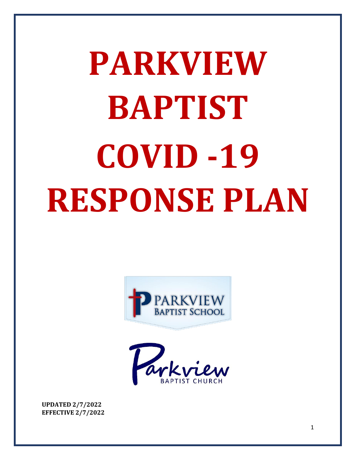# **PARKVIEW BAPTIST COVID -19 RESPONSE PLAN**





**UPDATED 2/7/2022 EFFECTIVE 2/7/2022**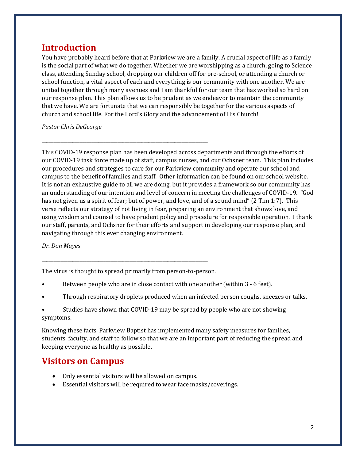#### **Introduction**

You have probably heard before that at Parkview we are a family. A crucial aspect of life as a family is the social part of what we do together. Whether we are worshipping as a church, going to Science class, attending Sunday school, dropping our children off for pre-school, or attending a church or school function, a vital aspect of each and everything is our community with one another. We are united together through many avenues and I am thankful for our team that has worked so hard on our response plan. This plan allows us to be prudent as we endeavor to maintain the community that we have. We are fortunate that we can responsibly be together for the various aspects of church and school life. For the Lord's Glory and the advancement of His Church!

*Pastor Chris DeGeorge*

This COVID-19 response plan has been developed across departments and through the efforts of our COVID-19 task force made up of staff, campus nurses, and our Ochsner team. This plan includes our procedures and strategies to care for our Parkview community and operate our school and campus to the benefit of families and staff. Other information can be found on our school website. It is not an exhaustive guide to all we are doing, but it provides a framework so our community has an understanding of our intention and level of concern in meeting the challenges of COVID-19. "God has not given us a spirit of fear; but of power, and love, and of a sound mind" (2 Tim 1:7). This verse reflects our strategy of not living in fear, preparing an environment that shows love, and using wisdom and counsel to have prudent policy and procedure for responsible operation. I thank our staff, parents, and Ochsner for their efforts and support in developing our response plan, and navigating through this ever changing environment.

*Dr. Don Mayes* 

The virus is thought to spread primarily from person-to-person.

\_\_\_\_\_\_\_\_\_\_\_\_\_\_\_\_\_\_\_\_\_\_\_\_\_\_\_\_\_\_\_\_\_\_\_\_\_\_\_\_\_\_\_\_\_\_\_\_\_\_\_\_\_\_\_\_\_\_\_\_\_\_\_\_\_\_\_\_\_\_

\_\_\_\_\_\_\_\_\_\_\_\_\_\_\_\_\_\_\_\_\_\_\_\_\_\_\_\_\_\_\_\_\_\_\_\_\_\_\_\_\_\_\_\_\_\_\_\_\_\_\_\_\_\_\_\_\_\_\_\_\_\_\_\_\_\_\_\_\_\_

- Between people who are in close contact with one another (within 3 6 feet).
- Through respiratory droplets produced when an infected person coughs, sneezes or talks.
- Studies have shown that COVID-19 may be spread by people who are not showing symptoms.

Knowing these facts, Parkview Baptist has implemented many safety measures for families, students, faculty, and staff to follow so that we are an important part of reducing the spread and keeping everyone as healthy as possible.

## **Visitors on Campus**

- Only essential visitors will be allowed on campus.
- Essential visitors will be required to wear face masks/coverings.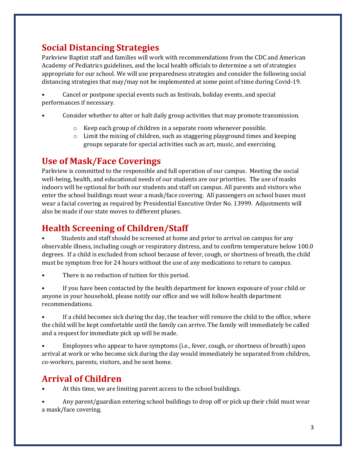# **Social Distancing Strategies**

Parkview Baptist staff and families will work with recommendations from the CDC and American Academy of Pediatrics guidelines, and the local health officials to determine a set of strategies appropriate for our school. We will use preparedness strategies and consider the following social distancing strategies that may/may not be implemented at some point of time during Covid-19.

• Cancel or postpone special events such as festivals, holiday events, and special performances if necessary.

- Consider whether to alter or halt daily group activities that may promote transmission.
	- o Keep each group of children in a separate room whenever possible.
	- $\circ$  Limit the mixing of children, such as staggering playground times and keeping groups separate for special activities such as art, music, and exercising.

## **Use of Mask/Face Coverings**

Parkview is committed to the responsible and full operation of our campus. Meeting the social well-being, health, and educational needs of our students are our priorities. The use of masks indoors will be optional for both our students and staff on campus. All parents and visitors who enter the school buildings must wear a mask/face covering. All passengers on school buses must wear a facial covering as required by Presidential Executive Order No. 13999. Adjustments will also be made if our state moves to different phases.

# **Health Screening of Children/Staff**

• Students and staff should be screened at home and prior to arrival on campus for any observable illness, including cough or respiratory distress, and to confirm temperature below 100.0 degrees. If a child is excluded from school because of fever, cough, or shortness of breath, the child must be symptom free for 24 hours without the use of any medications to return to campus.

There is no reduction of tuition for this period.

• If you have been contacted by the health department for known exposure of your child or anyone in your household, please notify our office and we will follow health department recommendations.

If a child becomes sick during the day, the teacher will remove the child to the office, where the child will be kept comfortable until the family can arrive. The family will immediately be called and a request for immediate pick up will be made.

• Employees who appear to have symptoms (i.e., fever, cough, or shortness of breath) upon arrival at work or who become sick during the day would immediately be separated from children, co-workers, parents, visitors, and be sent home.

# **Arrival of Children**

**•** At this time, we are limiting parent access to the school buildings.

• Any parent/guardian entering school buildings to drop off or pick up their child must wear a mask/face covering.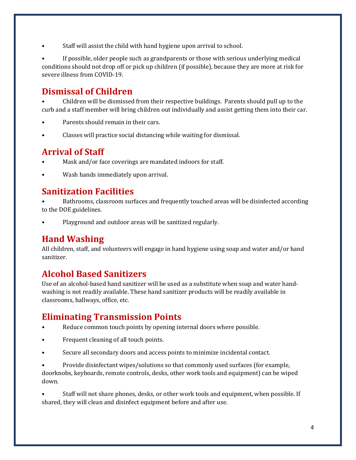• Staff will assist the child with hand hygiene upon arrival to school.

If possible, older people such as grandparents or those with serious underlying medical conditions should not drop off or pick up children (if possible), because they are more at risk for severe illness from COVID-19.

## **Dismissal of Children**

• Children will be dismissed from their respective buildings. Parents should pull up to the curb and a staff member will bring children out individually and assist getting them into their car.

- Parents should remain in their cars.
- Classes will practice social distancing while waiting for dismissal.

#### **Arrival of Staff**

- Mask and/or face coverings are mandated indoors for staff.
- Wash hands immediately upon arrival.

#### **Sanitization Facilities**

**•** Bathrooms, classroom surfaces and frequently touched areas will be disinfected according to the DOE guidelines.

• Playground and outdoor areas will be sanitized regularly.

#### **Hand Washing**

All children, staff, and volunteers will engage in hand hygiene using soap and water and/or hand sanitizer.

#### **Alcohol Based Sanitizers**

Use of an alcohol-based hand sanitizer will be used as a substitute when soap and water handwashing is not readily available. These hand sanitizer products will be readily available in classrooms, hallways, office, etc.

## **Eliminating Transmission Points**

- **•** Reduce common touch points by opening internal doors where possible.
- Frequent cleaning of all touch points.
- Secure all secondary doors and access points to minimize incidental contact.

• Provide disinfectant wipes/solutions so that commonly used surfaces (for example, doorknobs, keyboards, remote controls, desks, other work tools and equipment) can be wiped down.

• Staff will not share phones, desks, or other work tools and equipment, when possible. If shared, they will clean and disinfect equipment before and after use.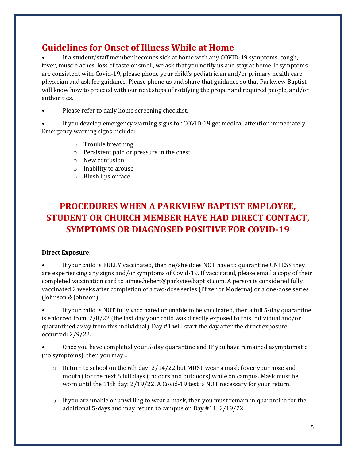# **Guidelines for Onset of Illness While at Home**

**•** If a student/staff member becomes sick at home with any COVID-19 symptoms, cough, fever, muscle aches, loss of taste or smell, we ask that you notify us and stay at home. If symptoms are consistent with Covid-19, please phone your child's pediatrician and/or primary health care physician and ask for guidance. Please phone us and share that guidance so that Parkview Baptist will know how to proceed with our next steps of notifying the proper and required people, and/or authorities.

- Please refer to daily home screening checklist.
- If you develop emergency warning signs for COVID-19 get medical attention immediately. Emergency warning signs include:
	- o Trouble breathing
	- o Persistent pain or pressure in the chest
	- o New confusion
	- o Inability to arouse
	- o Blush lips or face

# **PROCEDURES WHEN A PARKVIEW BAPTIST EMPLOYEE, STUDENT OR CHURCH MEMBER HAVE HAD DIRECT CONTACT, SYMPTOMS OR DIAGNOSED POSITIVE FOR COVID-19**

#### **Direct Exposure**:

If your child is FULLY vaccinated, then he/she does NOT have to quarantine UNLESS they are experiencing any signs and/or symptoms of Covid-19. If vaccinated, please email a copy of their completed vaccination card to aimee.hebert@parkviewbaptist.com. A person is considered fully vaccinated 2 weeks after completion of a two-dose series (Pfizer or Moderna) or a one-dose series (Johnson & Johnson).

If your child is NOT fully vaccinated or unable to be vaccinated, then a full 5-day quarantine is enforced from, 2/8/22 (the last day your child was directly exposed to this individual and/or quarantined away from this individual). Day #1 will start the day after the direct exposure occurred: 2/9/22.

• Once you have completed your 5-day quarantine and IF you have remained asymptomatic (no symptoms), then you may...

- $\circ$  Return to school on the 6th day: 2/14/22 but MUST wear a mask (over your nose and mouth) for the next 5 full days (indoors and outdoors) while on campus. Mask must be worn until the 11th day: 2/19/22. A Covid-19 test is NOT necessary for your return.
- $\circ$  If you are unable or unwilling to wear a mask, then you must remain in quarantine for the additional 5-days and may return to campus on Day #11: 2/19/22.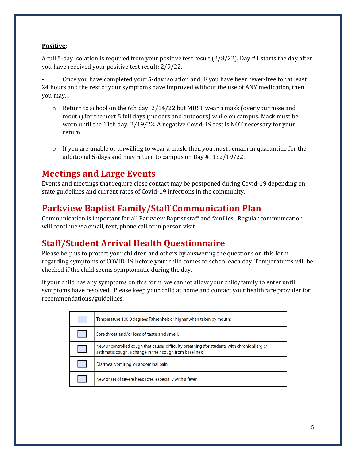#### **Positive**:

A full 5-day isolation is required from your positive test result (2/8/22). Day #1 starts the day after you have received your positive test result: 2/9/22.

• Once you have completed your 5-day isolation and IF you have been fever-free for at least 24 hours and the rest of your symptoms have improved without the use of ANY medication, then you may...

- $\circ$  Return to school on the 6th day: 2/14/22 but MUST wear a mask (over your nose and mouth) for the next 5 full days (indoors and outdoors) while on campus. Mask must be worn until the 11th day: 2/19/22. A negative Covid-19 test is NOT necessary for your return.
- $\circ$  If you are unable or unwilling to wear a mask, then you must remain in quarantine for the additional 5-days and may return to campus on Day #11: 2/19/22.

#### **Meetings and Large Events**

Events and meetings that require close contact may be postponed during Covid-19 depending on state guidelines and current rates of Covid-19 infections in the community.

#### **Parkview Baptist Family/Staff Communication Plan**

Communication is important for all Parkview Baptist staff and families. Regular communication will continue via email, text, phone call or in person visit.

## **Staff/Student Arrival Health Questionnaire**

Please help us to protect your children and others by answering the questions on this form regarding symptoms of COVID-19 before your child comes to school each day. Temperatures will be checked if the child seems symptomatic during the day.

If your child has any symptoms on this form, we cannot allow your child/family to enter until symptoms have resolved. Please keep your child at home and contact your healthcare provider for recommendations/guidelines.

| Temperature 100.0 degrees Fahrenheit or higher when taken by mouth;                                                                                      |
|----------------------------------------------------------------------------------------------------------------------------------------------------------|
| Sore throat and/or loss of taste and smell.                                                                                                              |
| New uncontrolled cough that causes difficulty breathing (for students with chronic allergic/<br>asthmatic cough, a change in their cough from baseline); |
| Diarrhea, vomiting, or abdominal pain                                                                                                                    |
| New onset of severe headache, especially with a fever.                                                                                                   |